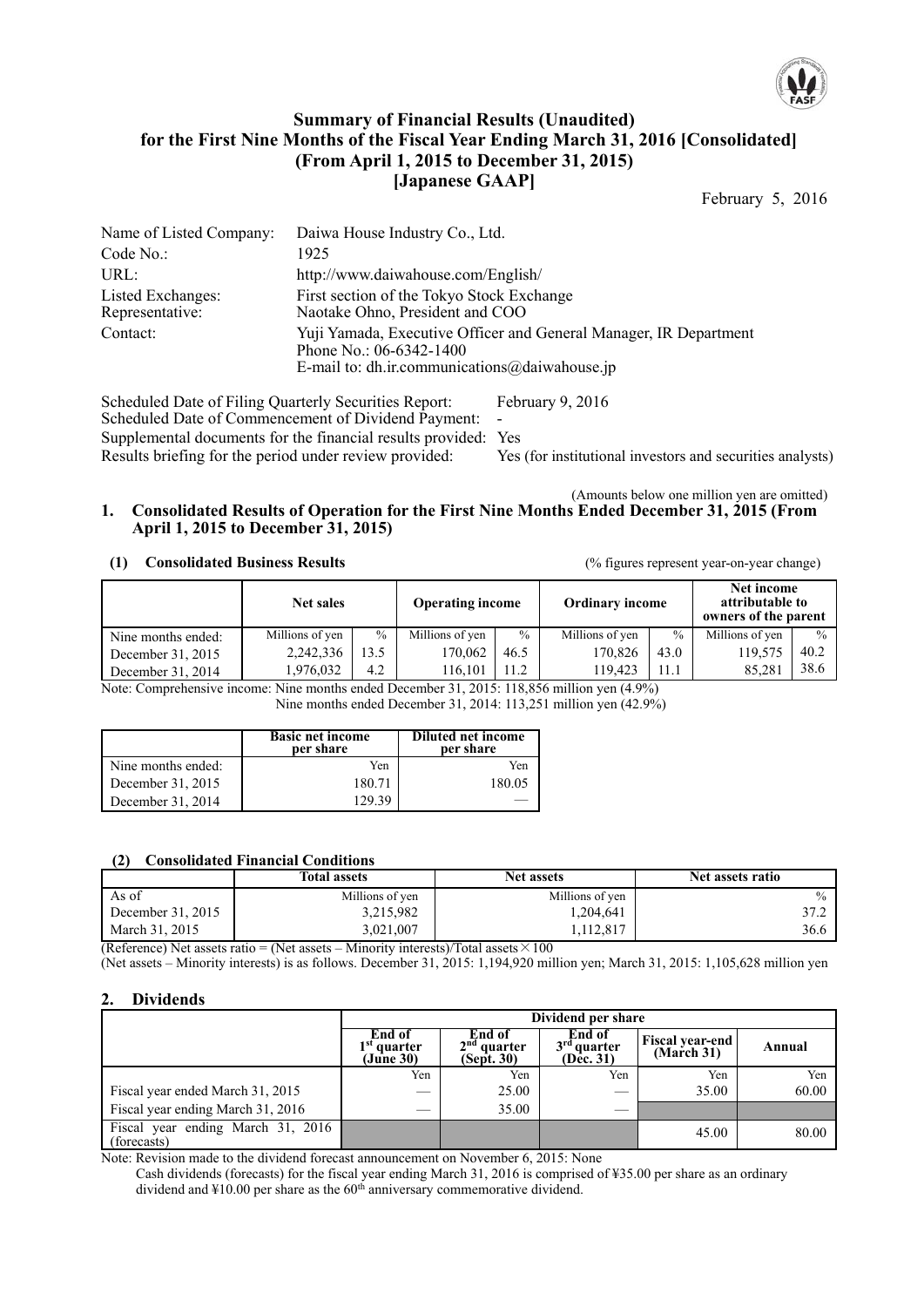

## **Summary of Financial Results (Unaudited) for the First Nine Months of the Fiscal Year Ending March 31, 2016 [Consolidated] (From April 1, 2015 to December 31, 2015) [Japanese GAAP]**

February 5, 2016

| Daiwa House Industry Co., Ltd.                                                                                                                    |
|---------------------------------------------------------------------------------------------------------------------------------------------------|
| 1925                                                                                                                                              |
| http://www.daiwahouse.com/English/                                                                                                                |
| First section of the Tokyo Stock Exchange<br>Naotake Ohno, President and COO                                                                      |
| Yuji Yamada, Executive Officer and General Manager, IR Department<br>Phone No.: 06-6342-1400<br>E-mail to: dh.ir.communications $@$ daiwahouse.jp |
|                                                                                                                                                   |

Scheduled Date of Filing Quarterly Securities Report: February 9, 2016 Scheduled Date of Commencement of Dividend Payment: Supplemental documents for the financial results provided: Yes Results briefing for the period under review provided: Yes (for institutional investors and securities analysts)

(Amounts below one million yen are omitted)

### **1. Consolidated Results of Operation for the First Nine Months Ended December 31, 2015 (From April 1, 2015 to December 31, 2015)**

#### **(1) Consolidated Business Results** (% figures represent year-on-year change)

| <b>Net sales</b>   |                 | <b>Operating income</b> |                 | <b>Ordinary income</b> |                 | Net income<br>attributable to<br>owners of the parent |                 |               |
|--------------------|-----------------|-------------------------|-----------------|------------------------|-----------------|-------------------------------------------------------|-----------------|---------------|
| Nine months ended: | Millions of yen | $\frac{0}{0}$           | Millions of yen | $\%$                   | Millions of yen | $\frac{0}{0}$                                         | Millions of yen | $\frac{0}{0}$ |
| December 31, 2015  | 2,242,336       | 13.5                    | 170.062         | 46.5                   | 170.826         | 43.0                                                  | 119.575         | 40.2          |
| December 31, 2014  | 1.976.032       | 4.2                     | 116.101         | 11.2                   | 119.423         | 11.1                                                  | 85.281          | 38.6          |

Note: Comprehensive income: Nine months ended December 31, 2015: 118,856 million yen (4.9%) Nine months ended December 31, 2014: 113,251 million yen (42.9%)

|                    | <b>Basic net income</b><br>per share | Diluted net income<br>per share |
|--------------------|--------------------------------------|---------------------------------|
| Nine months ended: | Yen                                  | Yen                             |
| December 31, 2015  | 180.71                               | 180.05                          |
| December 31, 2014  | 129.39                               |                                 |

#### **(2) Consolidated Financial Conditions**

|                   | <b>Total assets</b> | <b>Net assets</b> | Net assets ratio |
|-------------------|---------------------|-------------------|------------------|
| As of             | Millions of yen     | Millions of yen   | $\frac{0}{0}$    |
| December 31, 2015 | 3,215,982           | 1.204.641         | 37.2             |
| March 31, 2015    | 3,021,007           | 12.817            | 36.6             |

(Reference) Net assets ratio = (Net assets – Minority interests)/Total assets  $\times 100$ 

(Net assets – Minority interests) is as follows. December 31, 2015: 1,194,920 million yen; March 31, 2015: 1,105,628 million yen

## **2. Dividends**

|                                                    | Dividend per share                   |                                       |                                      |                                      |        |  |  |
|----------------------------------------------------|--------------------------------------|---------------------------------------|--------------------------------------|--------------------------------------|--------|--|--|
|                                                    | End of<br>$1st$ quarter<br>(June 30) | End of<br>$2nd$ quarter<br>(Sept. 30) | End of<br>$3rd$ quarter<br>(Dec. 31) | <b>Fiscal year-end</b><br>(March 31) | Annual |  |  |
|                                                    | Yen                                  | Yen                                   | Yen                                  | Yen                                  | Yen    |  |  |
| Fiscal year ended March 31, 2015                   |                                      | 25.00                                 |                                      | 35.00                                | 60.00  |  |  |
| Fiscal year ending March 31, 2016                  | __                                   | 35.00                                 |                                      |                                      |        |  |  |
| Fiscal year ending March $31, 2016$<br>(forecasts) |                                      |                                       |                                      | 45.00                                | 80.00  |  |  |

Note: Revision made to the dividend forecast announcement on November 6, 2015: None

Cash dividends (forecasts) for the fiscal year ending March 31, 2016 is comprised of ¥35.00 per share as an ordinary dividend and  $\text{\textsterling}10.00$  per share as the  $60^{\text{th}}$  anniversary commemorative dividend.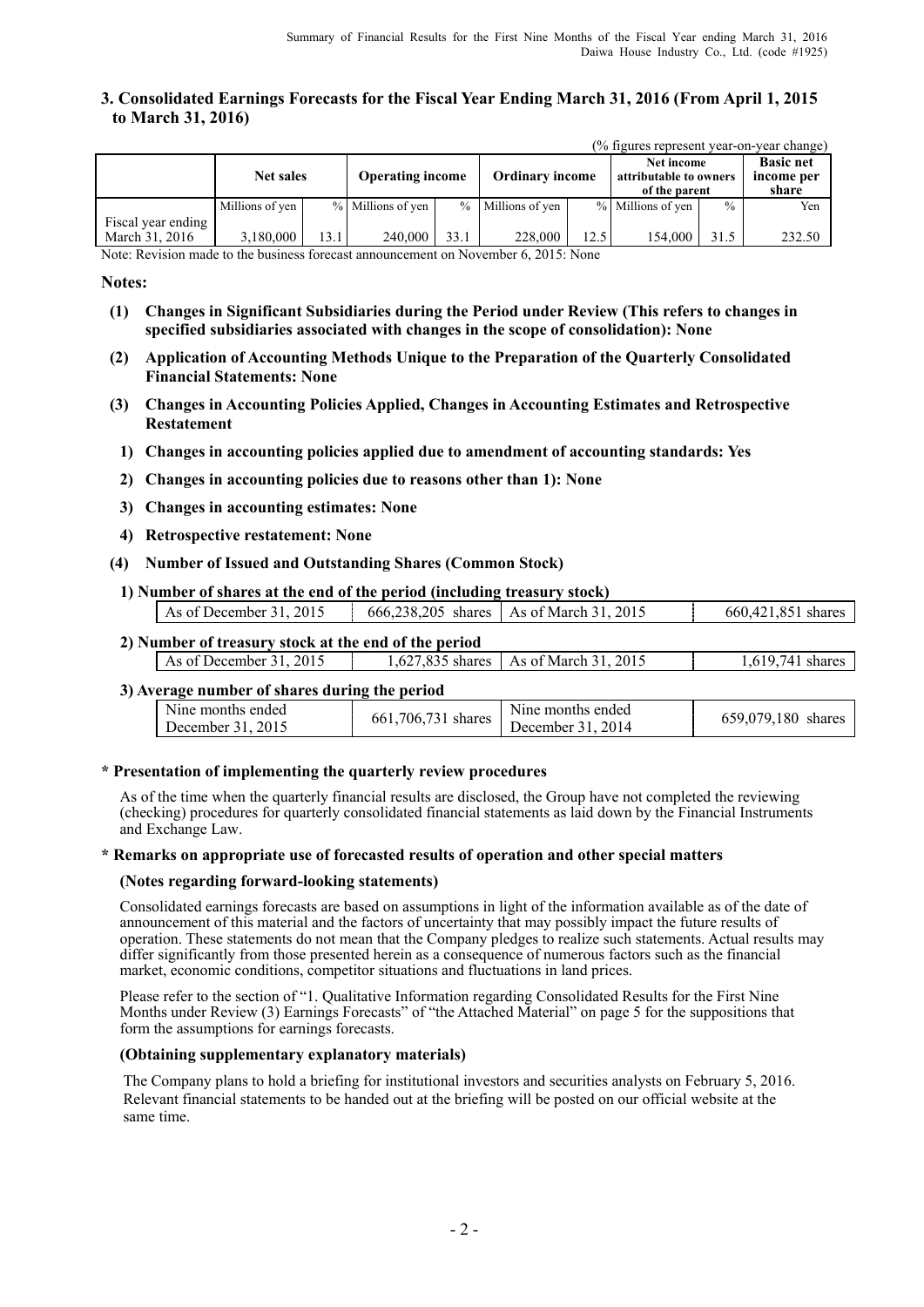## **3. Consolidated Earnings Forecasts for the Fiscal Year Ending March 31, 2016 (From April 1, 2015 to March 31, 2016)**

|                                      | (% figures represent year-on-year change) |      |                   |                         |                   |                        |                   |                                                       |        |
|--------------------------------------|-------------------------------------------|------|-------------------|-------------------------|-------------------|------------------------|-------------------|-------------------------------------------------------|--------|
|                                      | <b>Net sales</b>                          |      |                   | <b>Operating income</b> |                   | <b>Ordinary income</b> |                   | Net income<br>attributable to owners<br>of the parent |        |
|                                      | Millions of yen                           |      | % Millions of yen |                         | % Millions of yen |                        | % Millions of yen | $\frac{0}{0}$                                         | Yen    |
| Fiscal year ending<br>March 31, 2016 | 3,180,000                                 | 13.1 | 240,000           | 33.1                    | 228,000           | 12.5                   | 154.000           | 31.5                                                  | 232.50 |

Note: Revision made to the business forecast announcement on November 6, 2015: None

#### **Notes:**

- **(1) Changes in Significant Subsidiaries during the Period under Review (This refers to changes in specified subsidiaries associated with changes in the scope of consolidation): None**
- **(2) Application of Accounting Methods Unique to the Preparation of the Quarterly Consolidated Financial Statements: None**
- **(3) Changes in Accounting Policies Applied, Changes in Accounting Estimates and Retrospective Restatement** 
	- **1) Changes in accounting policies applied due to amendment of accounting standards: Yes**
	- **2) Changes in accounting policies due to reasons other than 1): None**
	- **3) Changes in accounting estimates: None**
	- **4) Retrospective restatement: None**
- **(4) Number of Issued and Outstanding Shares (Common Stock)**
- **1) Number of shares at the end of the period (including treasury stock)**

| As of December 31, 2015 | 666.238.205 shares As of March 31, 2015 | 660.421.851 shares |
|-------------------------|-----------------------------------------|--------------------|
|                         |                                         |                    |

## **2) Number of treasury stock at the end of the period**

| wanioti yi tixasar e stoch at the chu of the perfou |                                         |               |
|-----------------------------------------------------|-----------------------------------------|---------------|
| 2015<br>As of December 31.                          | 1.627.835 shares   As of March 31, 2015 | 741<br>shares |
|                                                     |                                         |               |

### **3) Average number of shares during the period**

| Nine months ended |                          | Nine months ended |                    |
|-------------------|--------------------------|-------------------|--------------------|
| December 31, 2015 | 706,731 shares<br>- 661. | December 31, 2014 | 659,079,180 shares |

#### **\* Presentation of implementing the quarterly review procedures**

As of the time when the quarterly financial results are disclosed, the Group have not completed the reviewing (checking) procedures for quarterly consolidated financial statements as laid down by the Financial Instruments and Exchange Law.

#### **\* Remarks on appropriate use of forecasted results of operation and other special matters**

#### **(Notes regarding forward-looking statements)**

Consolidated earnings forecasts are based on assumptions in light of the information available as of the date of announcement of this material and the factors of uncertainty that may possibly impact the future results of operation. These statements do not mean that the Company pledges to realize such statements. Actual results may differ significantly from those presented herein as a consequence of numerous factors such as the financial market, economic conditions, competitor situations and fluctuations in land prices.

Please refer to the section of "1. Qualitative Information regarding Consolidated Results for the First Nine Months under Review (3) Earnings Forecasts" of "the Attached Material" on page 5 for the suppositions that form the assumptions for earnings forecasts.

#### **(Obtaining supplementary explanatory materials)**

The Company plans to hold a briefing for institutional investors and securities analysts on February 5, 2016. Relevant financial statements to be handed out at the briefing will be posted on our official website at the same time.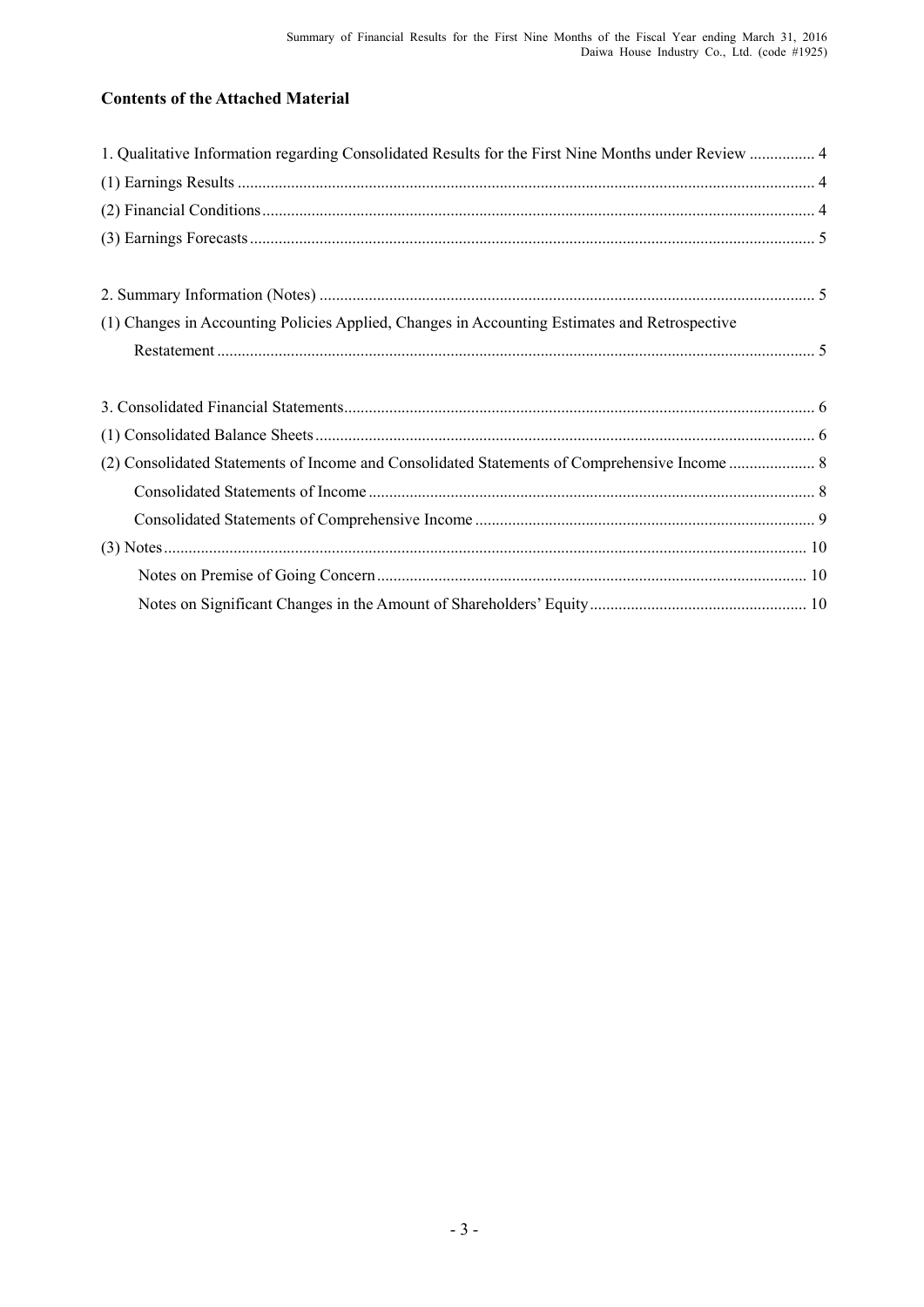# **Contents of the Attached Material**

| 1. Qualitative Information regarding Consolidated Results for the First Nine Months under Review  4 |  |
|-----------------------------------------------------------------------------------------------------|--|
|                                                                                                     |  |
|                                                                                                     |  |
|                                                                                                     |  |
|                                                                                                     |  |
|                                                                                                     |  |
| (1) Changes in Accounting Policies Applied, Changes in Accounting Estimates and Retrospective       |  |
|                                                                                                     |  |
|                                                                                                     |  |
|                                                                                                     |  |
|                                                                                                     |  |
|                                                                                                     |  |
|                                                                                                     |  |
|                                                                                                     |  |
|                                                                                                     |  |
|                                                                                                     |  |
|                                                                                                     |  |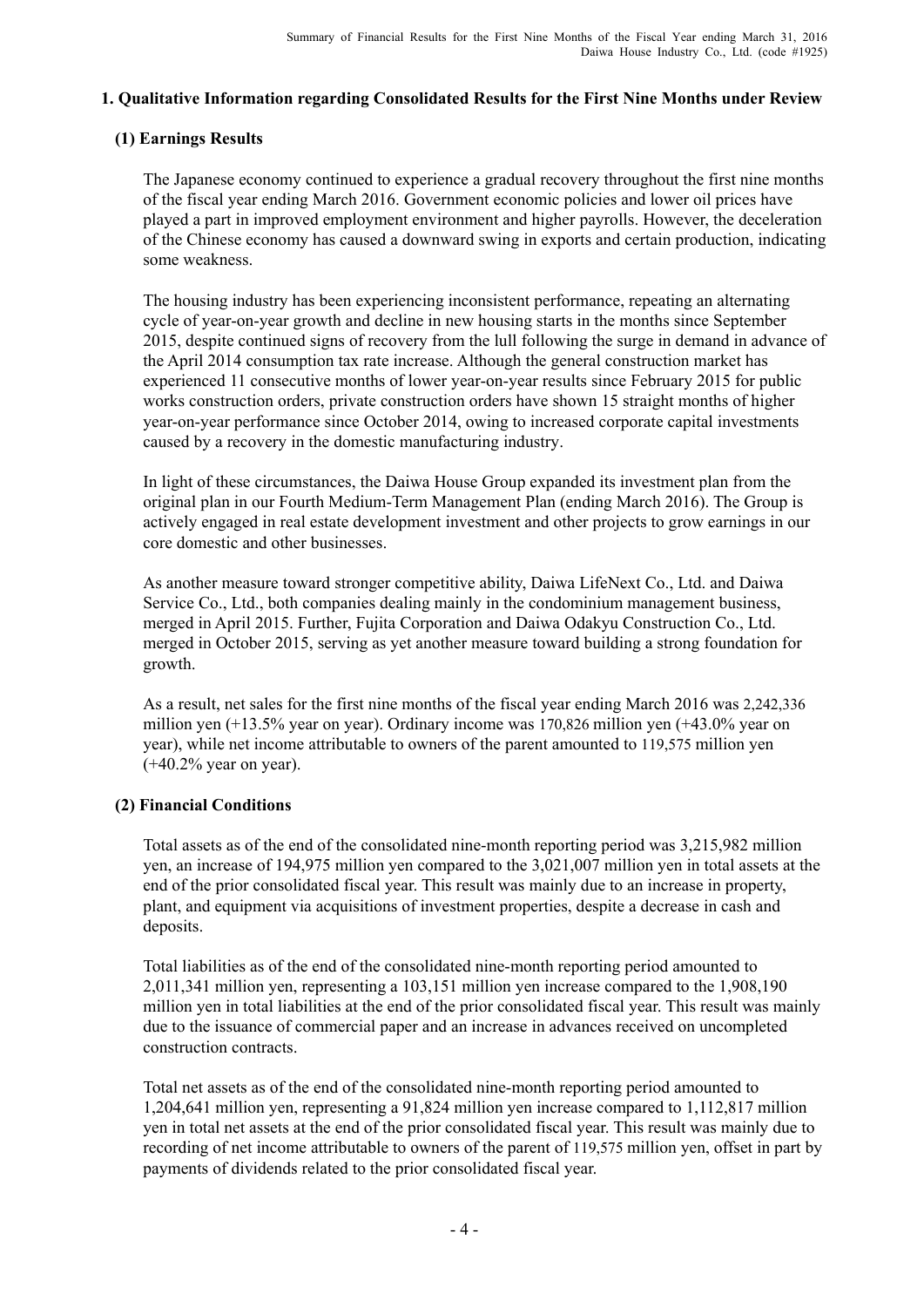## **1. Qualitative Information regarding Consolidated Results for the First Nine Months under Review**

## **(1) Earnings Results**

The Japanese economy continued to experience a gradual recovery throughout the first nine months of the fiscal year ending March 2016. Government economic policies and lower oil prices have played a part in improved employment environment and higher payrolls. However, the deceleration of the Chinese economy has caused a downward swing in exports and certain production, indicating some weakness.

The housing industry has been experiencing inconsistent performance, repeating an alternating cycle of year-on-year growth and decline in new housing starts in the months since September 2015, despite continued signs of recovery from the lull following the surge in demand in advance of the April 2014 consumption tax rate increase. Although the general construction market has experienced 11 consecutive months of lower year-on-year results since February 2015 for public works construction orders, private construction orders have shown 15 straight months of higher year-on-year performance since October 2014, owing to increased corporate capital investments caused by a recovery in the domestic manufacturing industry.

In light of these circumstances, the Daiwa House Group expanded its investment plan from the original plan in our Fourth Medium-Term Management Plan (ending March 2016). The Group is actively engaged in real estate development investment and other projects to grow earnings in our core domestic and other businesses.

As another measure toward stronger competitive ability, Daiwa LifeNext Co., Ltd. and Daiwa Service Co., Ltd., both companies dealing mainly in the condominium management business, merged in April 2015. Further, Fujita Corporation and Daiwa Odakyu Construction Co., Ltd. merged in October 2015, serving as yet another measure toward building a strong foundation for growth.

As a result, net sales for the first nine months of the fiscal year ending March 2016 was 2,242,336 million yen (+13.5% year on year). Ordinary income was 170,826 million yen (+43.0% year on year), while net income attributable to owners of the parent amounted to 119,575 million yen  $(+40.2\%$  year on year).

## **(2) Financial Conditions**

Total assets as of the end of the consolidated nine-month reporting period was 3,215,982 million yen, an increase of 194,975 million yen compared to the 3,021,007 million yen in total assets at the end of the prior consolidated fiscal year. This result was mainly due to an increase in property, plant, and equipment via acquisitions of investment properties, despite a decrease in cash and deposits.

Total liabilities as of the end of the consolidated nine-month reporting period amounted to 2,011,341 million yen, representing a 103,151 million yen increase compared to the 1,908,190 million yen in total liabilities at the end of the prior consolidated fiscal year. This result was mainly due to the issuance of commercial paper and an increase in advances received on uncompleted construction contracts.

Total net assets as of the end of the consolidated nine-month reporting period amounted to 1,204,641 million yen, representing a 91,824 million yen increase compared to 1,112,817 million yen in total net assets at the end of the prior consolidated fiscal year. This result was mainly due to recording of net income attributable to owners of the parent of 119,575 million yen, offset in part by payments of dividends related to the prior consolidated fiscal year.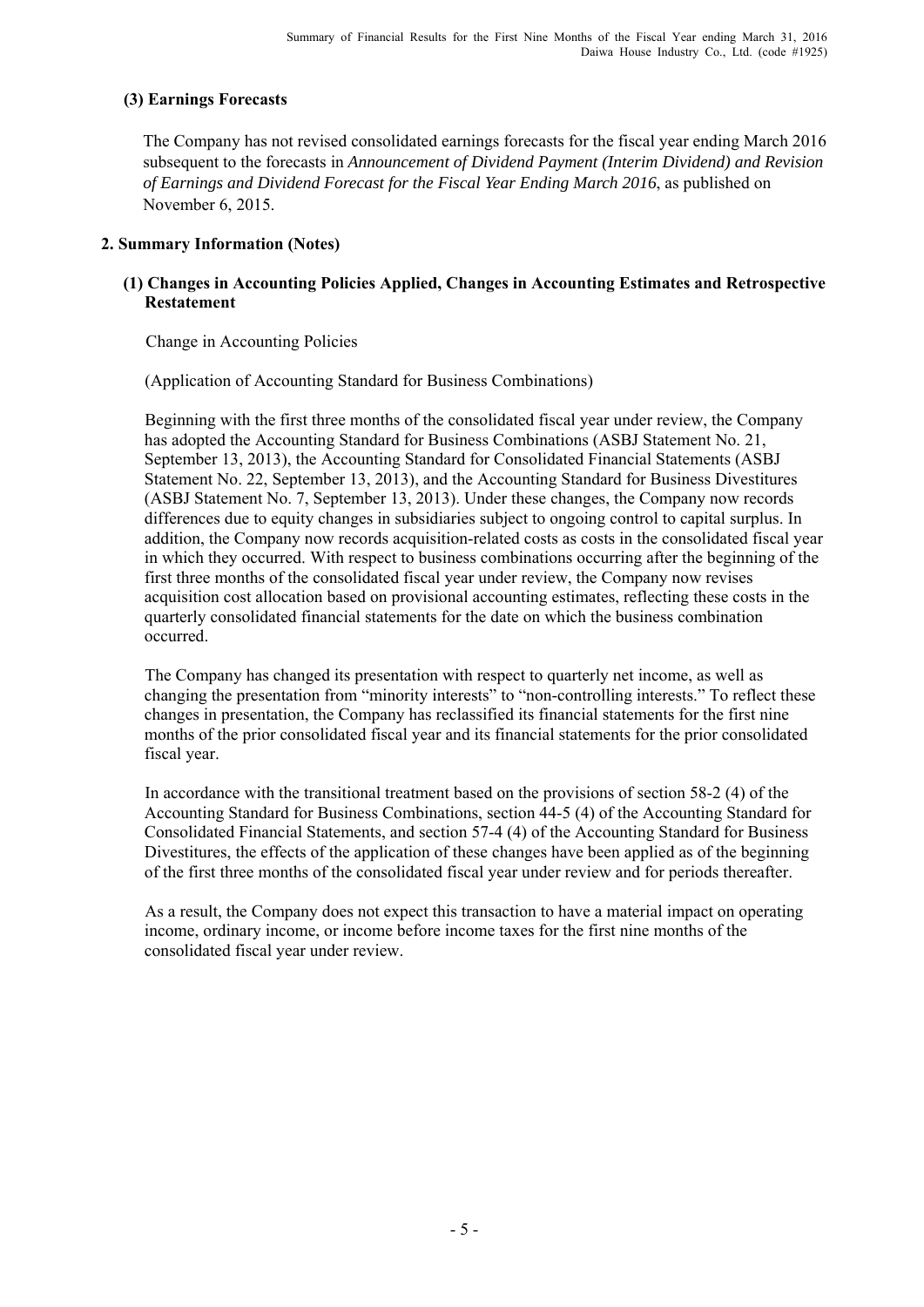## **(3) Earnings Forecasts**

The Company has not revised consolidated earnings forecasts for the fiscal year ending March 2016 subsequent to the forecasts in *Announcement of Dividend Payment (Interim Dividend) and Revision of Earnings and Dividend Forecast for the Fiscal Year Ending March 2016*, as published on November 6, 2015.

## **2. Summary Information (Notes)**

## **(1) Changes in Accounting Policies Applied, Changes in Accounting Estimates and Retrospective Restatement**

Change in Accounting Policies

(Application of Accounting Standard for Business Combinations)

Beginning with the first three months of the consolidated fiscal year under review, the Company has adopted the Accounting Standard for Business Combinations (ASBJ Statement No. 21, September 13, 2013), the Accounting Standard for Consolidated Financial Statements (ASBJ Statement No. 22, September 13, 2013), and the Accounting Standard for Business Divestitures (ASBJ Statement No. 7, September 13, 2013). Under these changes, the Company now records differences due to equity changes in subsidiaries subject to ongoing control to capital surplus. In addition, the Company now records acquisition-related costs as costs in the consolidated fiscal year in which they occurred. With respect to business combinations occurring after the beginning of the first three months of the consolidated fiscal year under review, the Company now revises acquisition cost allocation based on provisional accounting estimates, reflecting these costs in the quarterly consolidated financial statements for the date on which the business combination occurred.

The Company has changed its presentation with respect to quarterly net income, as well as changing the presentation from "minority interests" to "non-controlling interests." To reflect these changes in presentation, the Company has reclassified its financial statements for the first nine months of the prior consolidated fiscal year and its financial statements for the prior consolidated fiscal year.

In accordance with the transitional treatment based on the provisions of section 58-2 (4) of the Accounting Standard for Business Combinations, section 44-5 (4) of the Accounting Standard for Consolidated Financial Statements, and section 57-4 (4) of the Accounting Standard for Business Divestitures, the effects of the application of these changes have been applied as of the beginning of the first three months of the consolidated fiscal year under review and for periods thereafter.

As a result, the Company does not expect this transaction to have a material impact on operating income, ordinary income, or income before income taxes for the first nine months of the consolidated fiscal year under review.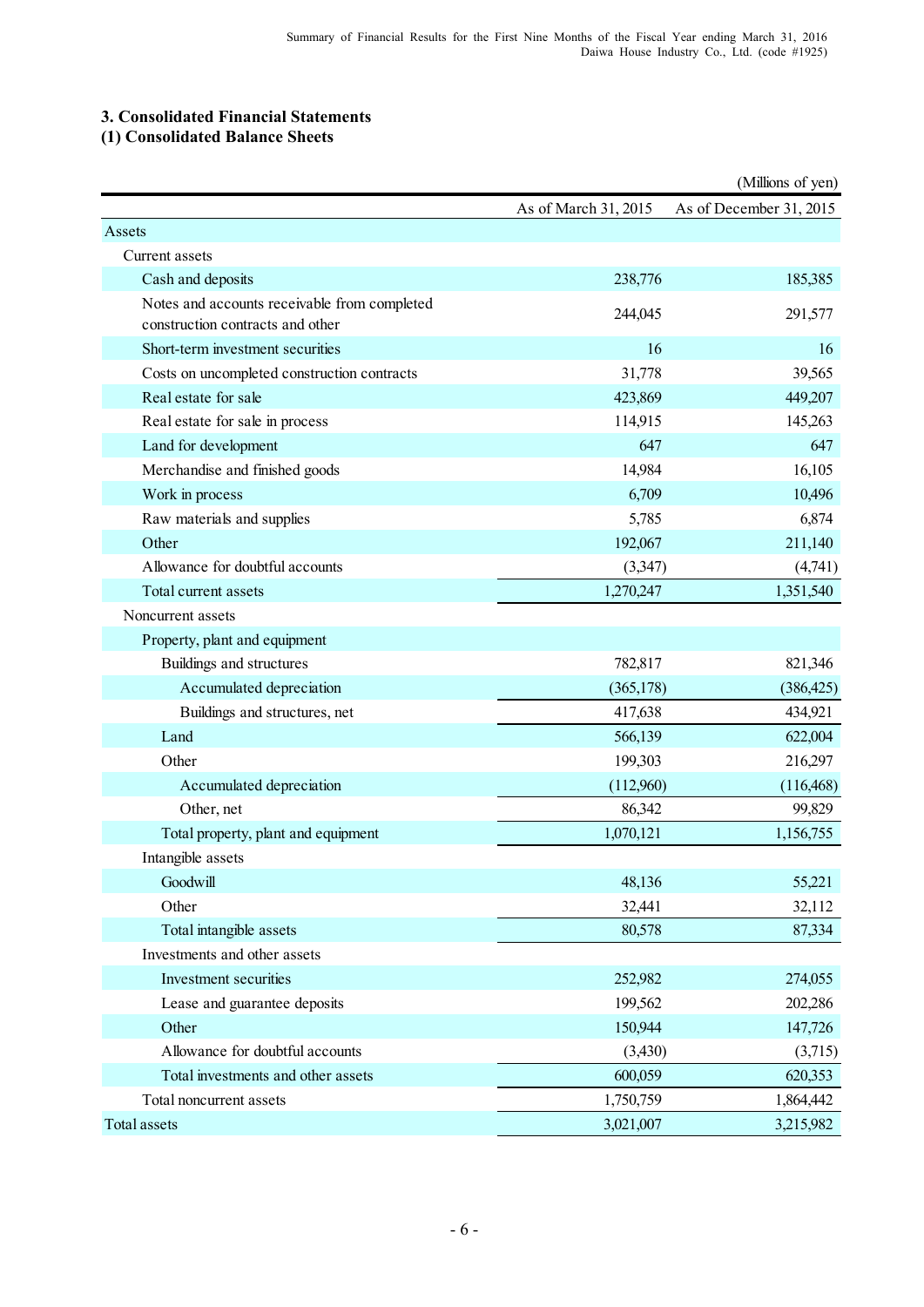## **3. Consolidated Financial Statements**

## **(1) Consolidated Balance Sheets**

|                                                                                  |                      | (Millions of yen)       |
|----------------------------------------------------------------------------------|----------------------|-------------------------|
|                                                                                  | As of March 31, 2015 | As of December 31, 2015 |
| Assets                                                                           |                      |                         |
| Current assets                                                                   |                      |                         |
| Cash and deposits                                                                | 238,776              | 185,385                 |
| Notes and accounts receivable from completed<br>construction contracts and other | 244,045              | 291,577                 |
| Short-term investment securities                                                 | 16                   | 16                      |
| Costs on uncompleted construction contracts                                      | 31,778               | 39,565                  |
| Real estate for sale                                                             | 423,869              | 449,207                 |
| Real estate for sale in process                                                  | 114,915              | 145,263                 |
| Land for development                                                             | 647                  | 647                     |
| Merchandise and finished goods                                                   | 14,984               | 16,105                  |
| Work in process                                                                  | 6,709                | 10,496                  |
| Raw materials and supplies                                                       | 5,785                | 6,874                   |
| Other                                                                            | 192,067              | 211,140                 |
| Allowance for doubtful accounts                                                  | (3,347)              | (4,741)                 |
| Total current assets                                                             | 1,270,247            | 1,351,540               |
| Noncurrent assets                                                                |                      |                         |
| Property, plant and equipment                                                    |                      |                         |
| Buildings and structures                                                         | 782,817              | 821,346                 |
| Accumulated depreciation                                                         | (365, 178)           | (386, 425)              |
| Buildings and structures, net                                                    | 417,638              | 434,921                 |
| Land                                                                             | 566,139              | 622,004                 |
| Other                                                                            | 199,303              | 216,297                 |
| Accumulated depreciation                                                         | (112,960)            | (116, 468)              |
| Other, net                                                                       | 86,342               | 99,829                  |
| Total property, plant and equipment                                              | 1,070,121            | 1,156,755               |
| Intangible assets                                                                |                      |                         |
| Goodwill                                                                         | 48,136               | 55,221                  |
| Other                                                                            | 32,441               | 32,112                  |
| Total intangible assets                                                          | 80,578               | 87,334                  |
| Investments and other assets                                                     |                      |                         |
| Investment securities                                                            | 252,982              | 274,055                 |
| Lease and guarantee deposits                                                     | 199,562              | 202,286                 |
| Other                                                                            | 150,944              | 147,726                 |
| Allowance for doubtful accounts                                                  | (3,430)              | (3,715)                 |
| Total investments and other assets                                               | 600,059              | 620,353                 |
| Total noncurrent assets                                                          | 1,750,759            | 1,864,442               |
| Total assets                                                                     | 3,021,007            | 3,215,982               |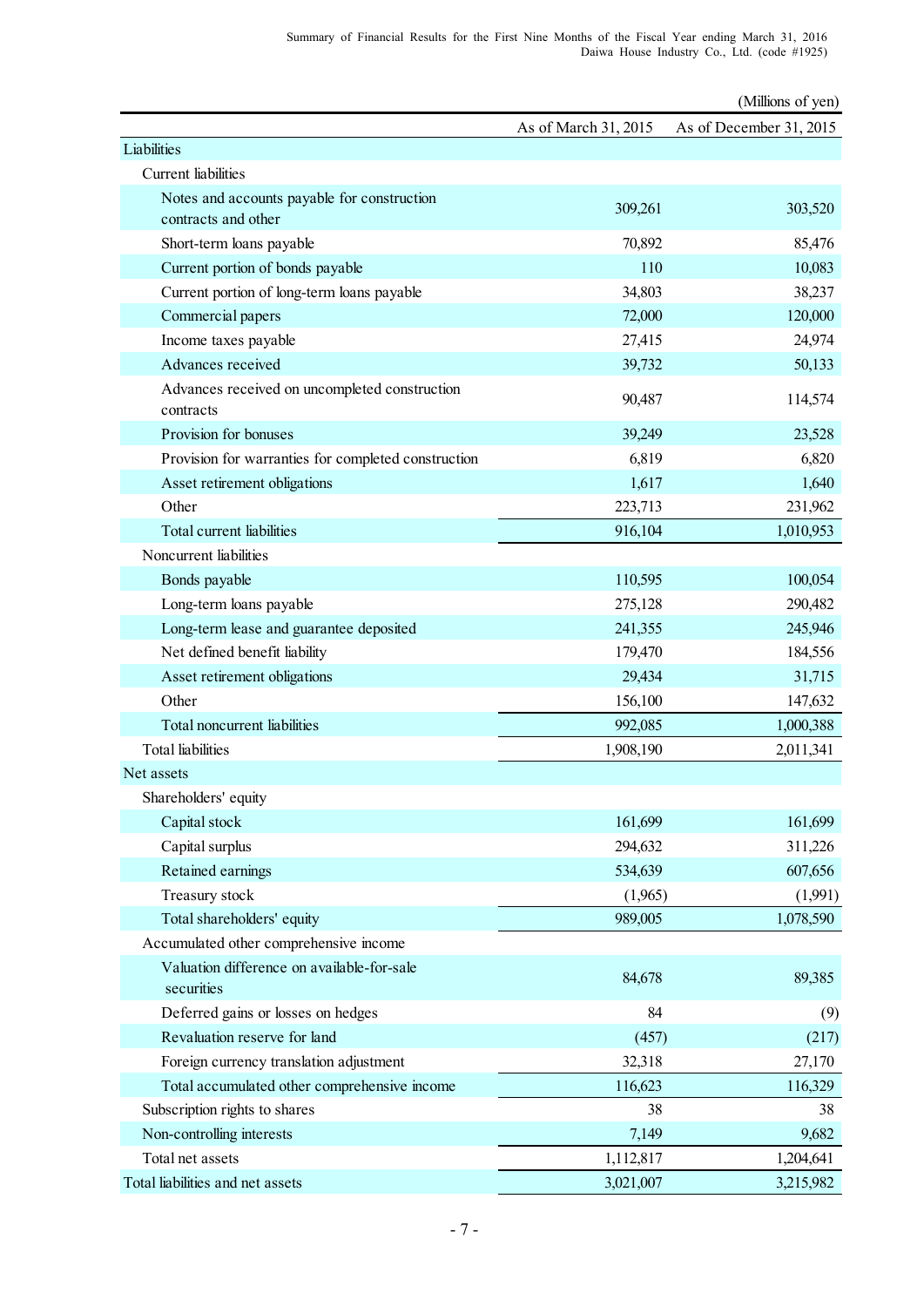|                                                            |                      | (Millions of yen)       |
|------------------------------------------------------------|----------------------|-------------------------|
|                                                            | As of March 31, 2015 | As of December 31, 2015 |
| Liabilities                                                |                      |                         |
| <b>Current</b> liabilities                                 |                      |                         |
| Notes and accounts payable for construction                | 309,261              | 303,520                 |
| contracts and other                                        |                      |                         |
| Short-term loans payable                                   | 70,892               | 85,476                  |
| Current portion of bonds payable                           | 110                  | 10,083                  |
| Current portion of long-term loans payable                 | 34,803               | 38,237                  |
| Commercial papers                                          | 72,000               | 120,000                 |
| Income taxes payable                                       | 27,415               | 24,974                  |
| Advances received                                          | 39,732               | 50,133                  |
| Advances received on uncompleted construction<br>contracts | 90,487               | 114,574                 |
| Provision for bonuses                                      | 39,249               | 23,528                  |
| Provision for warranties for completed construction        | 6,819                | 6,820                   |
| Asset retirement obligations                               | 1,617                | 1,640                   |
| Other                                                      | 223,713              | 231,962                 |
| Total current liabilities                                  | 916,104              | 1,010,953               |
| Noncurrent liabilities                                     |                      |                         |
| Bonds payable                                              | 110,595              | 100,054                 |
| Long-term loans payable                                    | 275,128              | 290,482                 |
| Long-term lease and guarantee deposited                    | 241,355              | 245,946                 |
| Net defined benefit liability                              | 179,470              | 184,556                 |
| Asset retirement obligations                               | 29,434               | 31,715                  |
| Other                                                      | 156,100              | 147,632                 |
| Total noncurrent liabilities                               | 992,085              | 1,000,388               |
| <b>Total</b> liabilities                                   | 1,908,190            | 2,011,341               |
| Net assets                                                 |                      |                         |
| Shareholders' equity                                       |                      |                         |
| Capital stock                                              | 161,699              | 161,699                 |
| Capital surplus                                            | 294,632              | 311,226                 |
| Retained earnings                                          | 534,639              | 607,656                 |
| Treasury stock                                             | (1,965)              | (1,991)                 |
| Total shareholders' equity                                 | 989,005              | 1,078,590               |
| Accumulated other comprehensive income                     |                      |                         |
| Valuation difference on available-for-sale<br>securities   | 84,678               | 89,385                  |
| Deferred gains or losses on hedges                         | 84                   | (9)                     |
| Revaluation reserve for land                               | (457)                | (217)                   |
| Foreign currency translation adjustment                    | 32,318               | 27,170                  |
| Total accumulated other comprehensive income               | 116,623              | 116,329                 |
| Subscription rights to shares                              | 38                   | 38                      |
| Non-controlling interests                                  | 7,149                | 9,682                   |
| Total net assets                                           | 1,112,817            | 1,204,641               |
| Total liabilities and net assets                           | 3,021,007            | 3,215,982               |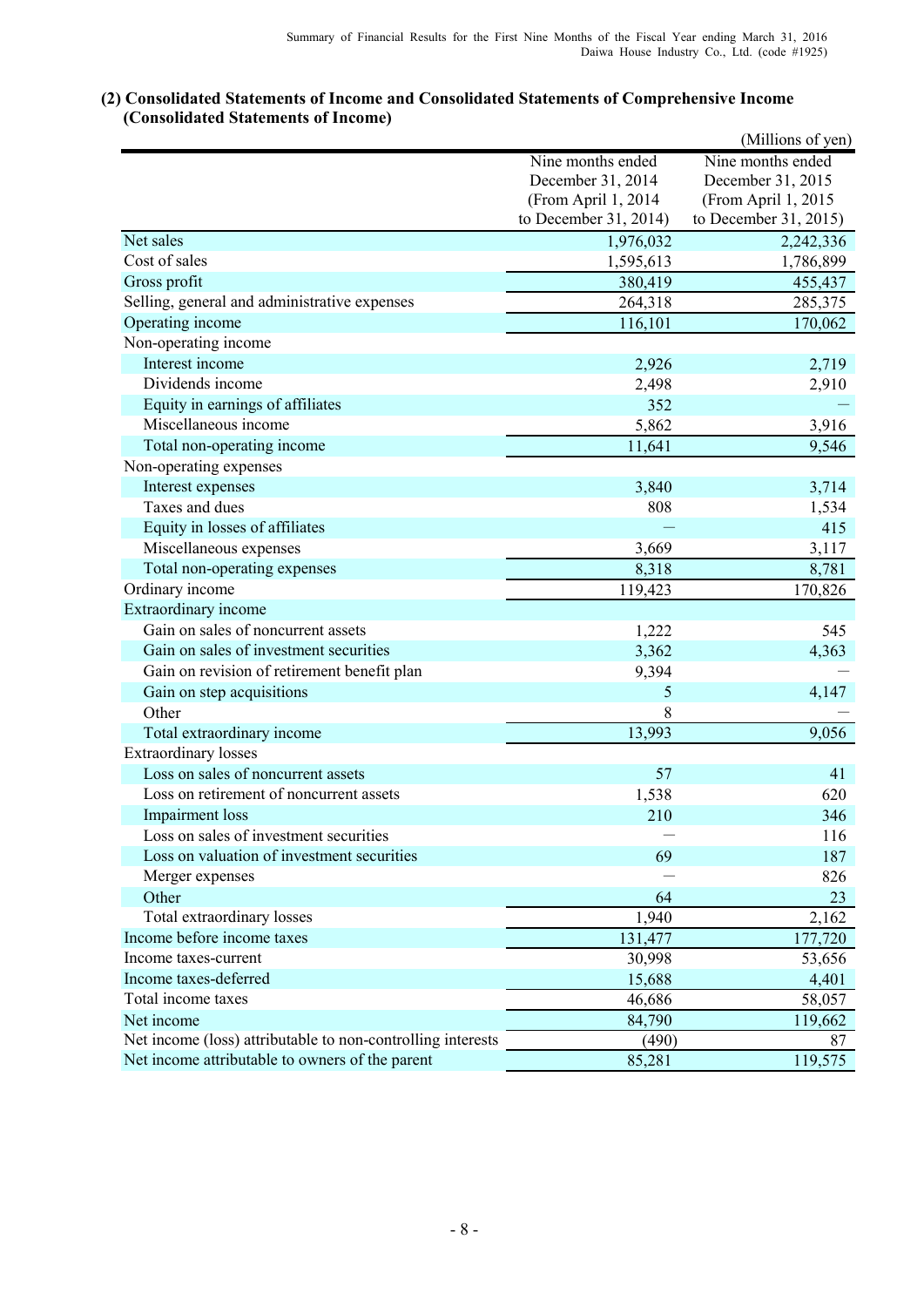|                                                             |                       | (Millions of yen)     |
|-------------------------------------------------------------|-----------------------|-----------------------|
|                                                             | Nine months ended     | Nine months ended     |
|                                                             | December 31, 2014     | December 31, 2015     |
|                                                             | (From April 1, 2014   | (From April 1, 2015   |
|                                                             | to December 31, 2014) | to December 31, 2015) |
| Net sales                                                   | 1,976,032             | 2,242,336             |
| Cost of sales                                               | 1,595,613             | 1,786,899             |
| Gross profit                                                | 380,419               | 455,437               |
| Selling, general and administrative expenses                | 264,318               | 285,375               |
| Operating income                                            | 116,101               | 170,062               |
| Non-operating income                                        |                       |                       |
| Interest income                                             | 2,926                 | 2,719                 |
| Dividends income                                            | 2,498                 | 2,910                 |
| Equity in earnings of affiliates                            | 352                   |                       |
| Miscellaneous income                                        | 5,862                 | 3,916                 |
| Total non-operating income                                  | 11,641                | 9,546                 |
| Non-operating expenses                                      |                       |                       |
| Interest expenses                                           | 3,840                 | 3,714                 |
| Taxes and dues                                              | 808                   | 1,534                 |
| Equity in losses of affiliates                              |                       | 415                   |
| Miscellaneous expenses                                      | 3,669                 | 3,117                 |
| Total non-operating expenses                                | 8,318                 | 8,781                 |
| Ordinary income                                             | 119,423               | 170,826               |
| Extraordinary income                                        |                       |                       |
| Gain on sales of noncurrent assets                          | 1,222                 | 545                   |
| Gain on sales of investment securities                      | 3,362                 | 4,363                 |
| Gain on revision of retirement benefit plan                 | 9,394                 |                       |
| Gain on step acquisitions                                   | 5                     | 4,147                 |
| Other                                                       | 8                     |                       |
| Total extraordinary income                                  | 13,993                | 9,056                 |
| <b>Extraordinary losses</b>                                 |                       |                       |
| Loss on sales of noncurrent assets                          | 57                    | 41                    |
| Loss on retirement of noncurrent assets                     | 1,538                 | 620                   |
| Impairment loss                                             | 210                   | 346                   |
| Loss on sales of investment securities                      |                       | 116                   |
| Loss on valuation of investment securities                  | 69                    | 187                   |
| Merger expenses                                             |                       | 826                   |
| Other                                                       | 64                    | 23                    |
| Total extraordinary losses                                  | 1,940                 | 2,162                 |
| Income before income taxes                                  | 131,477               | 177,720               |
| Income taxes-current                                        | 30,998                | 53,656                |
| Income taxes-deferred                                       | 15,688                | 4,401                 |
| Total income taxes                                          | 46,686                | 58,057                |
| Net income                                                  | 84,790                | 119,662               |
| Net income (loss) attributable to non-controlling interests | (490)                 | 87                    |
| Net income attributable to owners of the parent             | 85,281                | 119,575               |
|                                                             |                       |                       |

## **(2) Consolidated Statements of Income and Consolidated Statements of Comprehensive Income (Consolidated Statements of Income)**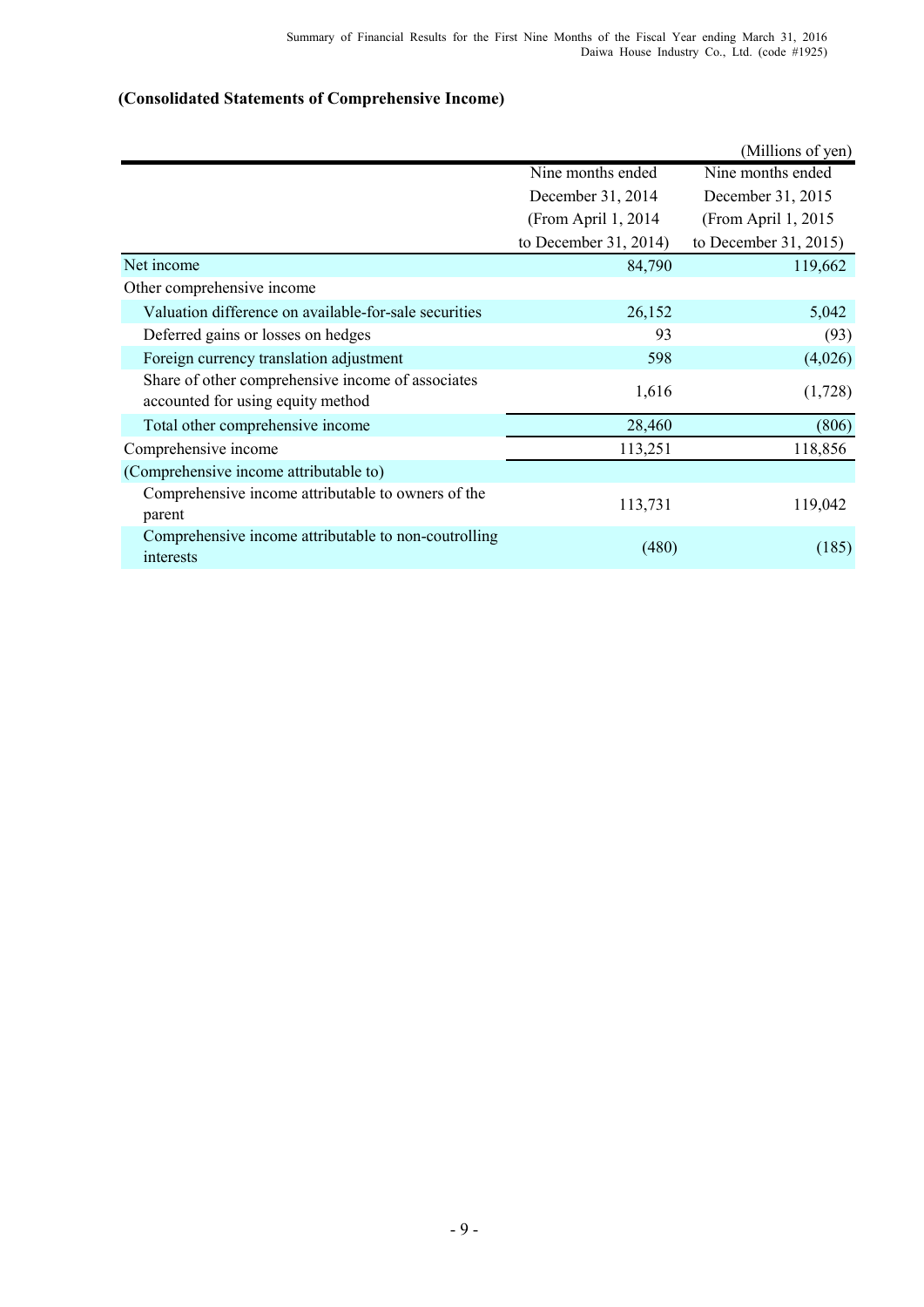# **(Consolidated Statements of Comprehensive Income)**

|                                                                                        |                       | (Millions of yen)     |
|----------------------------------------------------------------------------------------|-----------------------|-----------------------|
|                                                                                        | Nine months ended     | Nine months ended     |
|                                                                                        | December 31, 2014     | December 31, 2015     |
|                                                                                        | (From April 1, 2014)  | (From April 1, 2015)  |
|                                                                                        | to December 31, 2014) | to December 31, 2015) |
| Net income                                                                             | 84,790                | 119,662               |
| Other comprehensive income                                                             |                       |                       |
| Valuation difference on available-for-sale securities                                  | 26,152                | 5,042                 |
| Deferred gains or losses on hedges                                                     | 93                    | (93)                  |
| Foreign currency translation adjustment                                                | 598                   | (4,026)               |
| Share of other comprehensive income of associates<br>accounted for using equity method | 1,616                 | (1,728)               |
| Total other comprehensive income                                                       | 28,460                | (806)                 |
| Comprehensive income                                                                   | 113,251               | 118,856               |
| (Comprehensive income attributable to)                                                 |                       |                       |
| Comprehensive income attributable to owners of the<br>parent                           | 113,731               | 119,042               |
| Comprehensive income attributable to non-coutrolling<br>interests                      | (480)                 | (185)                 |